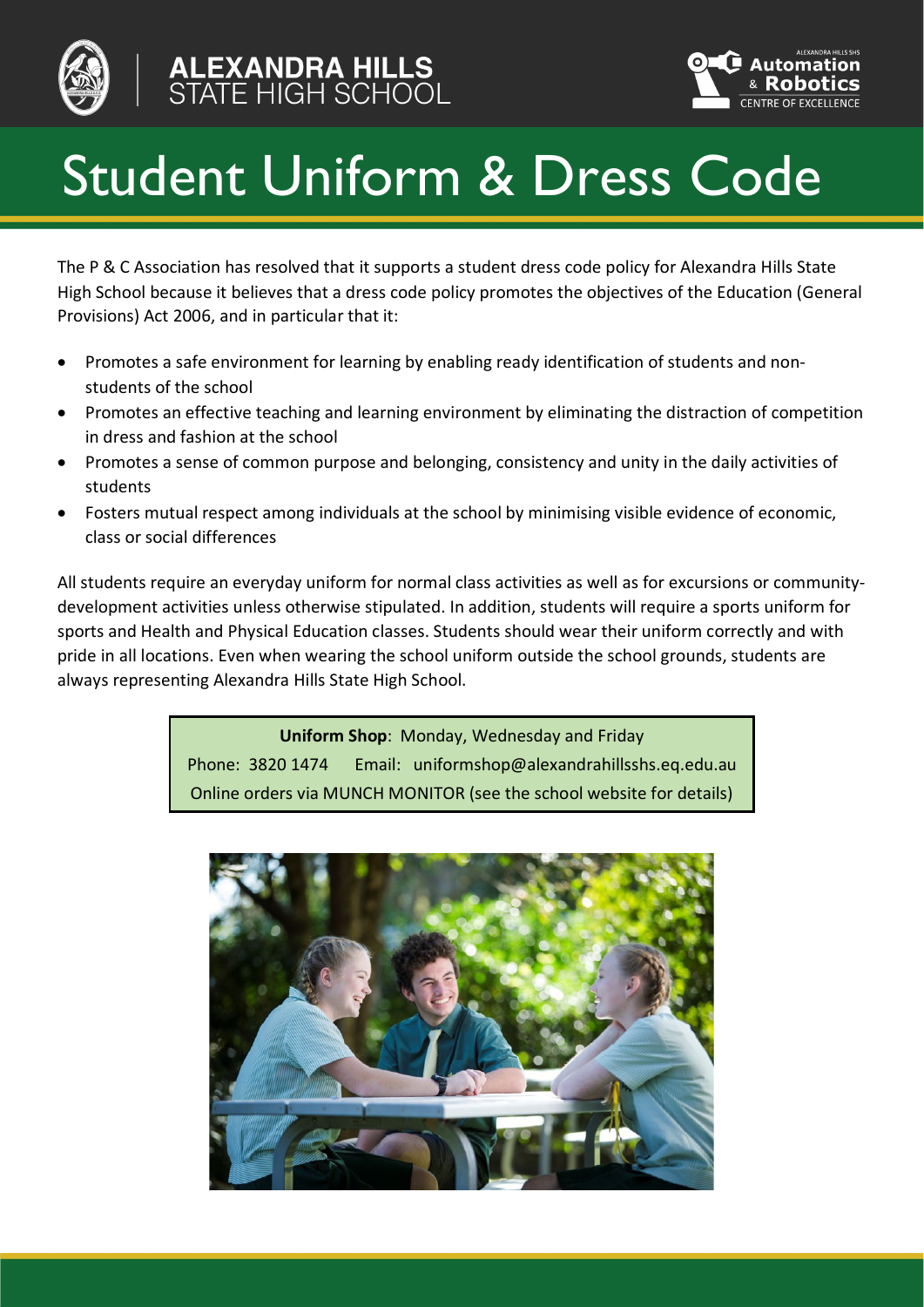



# Student Uniform & Dress Code

The P & C Association has resolved that it supports a student dress code policy for Alexandra Hills State High School because it believes that a dress code policy promotes the objectives of the Education (General Provisions) Act 2006, and in particular that it:

- Promotes a safe environment for learning by enabling ready identification of students and nonstudents of the school
- Promotes an effective teaching and learning environment by eliminating the distraction of competition in dress and fashion at the school
- Promotes a sense of common purpose and belonging, consistency and unity in the daily activities of students
- Fosters mutual respect among individuals at the school by minimising visible evidence of economic, class or social differences

All students require an everyday uniform for normal class activities as well as for excursions or communitydevelopment activities unless otherwise stipulated. In addition, students will require a sports uniform for sports and Health and Physical Education classes. Students should wear their uniform correctly and with pride in all locations. Even when wearing the school uniform outside the school grounds, students are always representing Alexandra Hills State High School.

> **Uniform Shop**: Monday, Wednesday and Friday Phone: 3820 1474 Email: uniformshop@alexandrahillsshs.eq.edu.au Online orders via MUNCH MONITOR (see the school website for details)

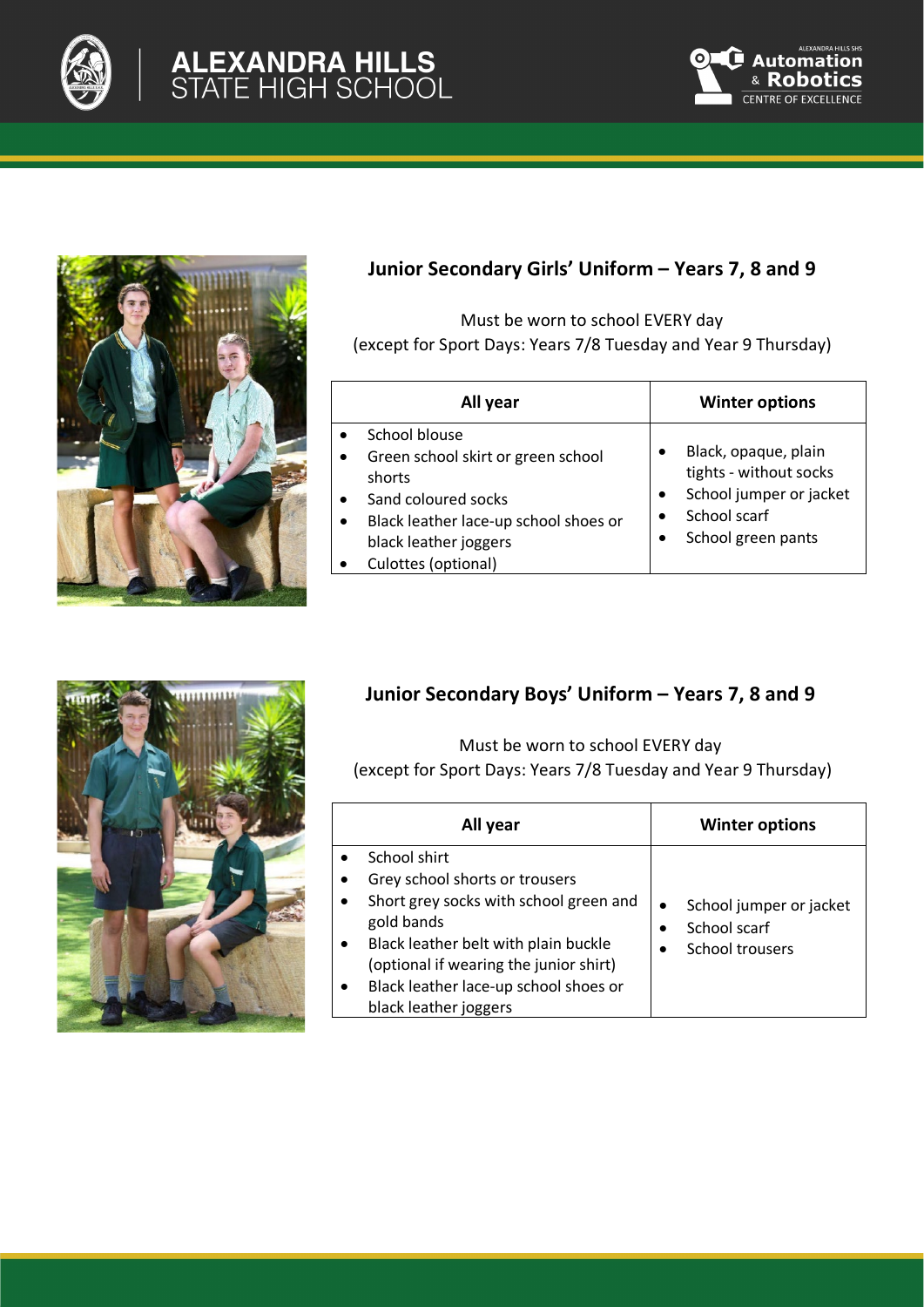

# ALEXANDRA HILLS<br>STATE HIGH SCHOOL





## **Junior Secondary Girls' Uniform – Years 7, 8 and 9**

Must be worn to school EVERY day (except for Sport Days: Years 7/8 Tuesday and Year 9 Thursday)

| All year                                                                                                                                                                      | <b>Winter options</b>                                                                                           |
|-------------------------------------------------------------------------------------------------------------------------------------------------------------------------------|-----------------------------------------------------------------------------------------------------------------|
| School blouse<br>Green school skirt or green school<br>shorts<br>Sand coloured socks<br>Black leather lace-up school shoes or<br>black leather joggers<br>Culottes (optional) | Black, opaque, plain<br>tights - without socks<br>School jumper or jacket<br>School scarf<br>School green pants |



# **Junior Secondary Boys' Uniform – Years 7, 8 and 9**

Must be worn to school EVERY day (except for Sport Days: Years 7/8 Tuesday and Year 9 Thursday)

| All year                                                                                                                                                                                                                                                   | <b>Winter options</b>                                      |
|------------------------------------------------------------------------------------------------------------------------------------------------------------------------------------------------------------------------------------------------------------|------------------------------------------------------------|
| School shirt<br>Grey school shorts or trousers<br>Short grey socks with school green and<br>gold bands<br>Black leather belt with plain buckle<br>(optional if wearing the junior shirt)<br>Black leather lace-up school shoes or<br>black leather joggers | School jumper or jacket<br>School scarf<br>School trousers |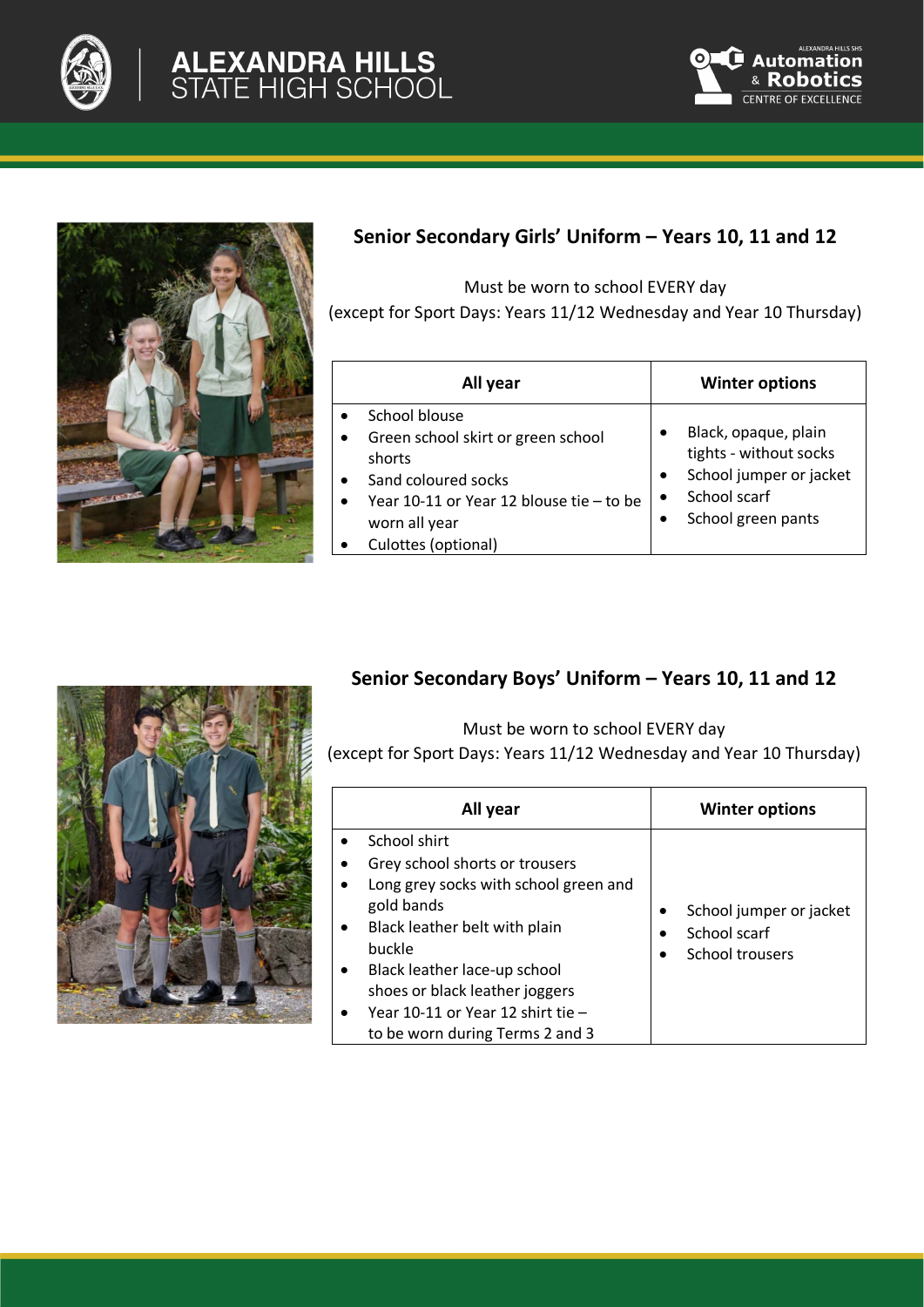







### **Senior Secondary Girls' Uniform – Years 10, 11 and 12**

Must be worn to school EVERY day

(except for Sport Days: Years 11/12 Wednesday and Year 10 Thursday)

| All year                                 | <b>Winter options</b>   |
|------------------------------------------|-------------------------|
| School blouse                            | Black, opaque, plain    |
| Green school skirt or green school       | tights - without socks  |
| shorts                                   | School jumper or jacket |
| Sand coloured socks                      | $\bullet$               |
| Year 10-11 or Year 12 blouse tie - to be | School scarf            |
| worn all year                            | $\bullet$               |
| Culottes (optional)                      | School green pants      |

### **Senior Secondary Boys' Uniform – Years 10, 11 and 12**

Must be worn to school EVERY day

(except for Sport Days: Years 11/12 Wednesday and Year 10 Thursday)

| All year                                                                                                                                                                                                                                                                                                             | <b>Winter options</b>                                           |
|----------------------------------------------------------------------------------------------------------------------------------------------------------------------------------------------------------------------------------------------------------------------------------------------------------------------|-----------------------------------------------------------------|
| School shirt<br>Grey school shorts or trousers<br>Long grey socks with school green and<br>gold bands<br>Black leather belt with plain<br>$\bullet$<br>buckle<br>Black leather lace-up school<br>$\bullet$<br>shoes or black leather joggers<br>Year 10-11 or Year 12 shirt tie -<br>to be worn during Terms 2 and 3 | School jumper or jacket<br>٠<br>School scarf<br>School trousers |

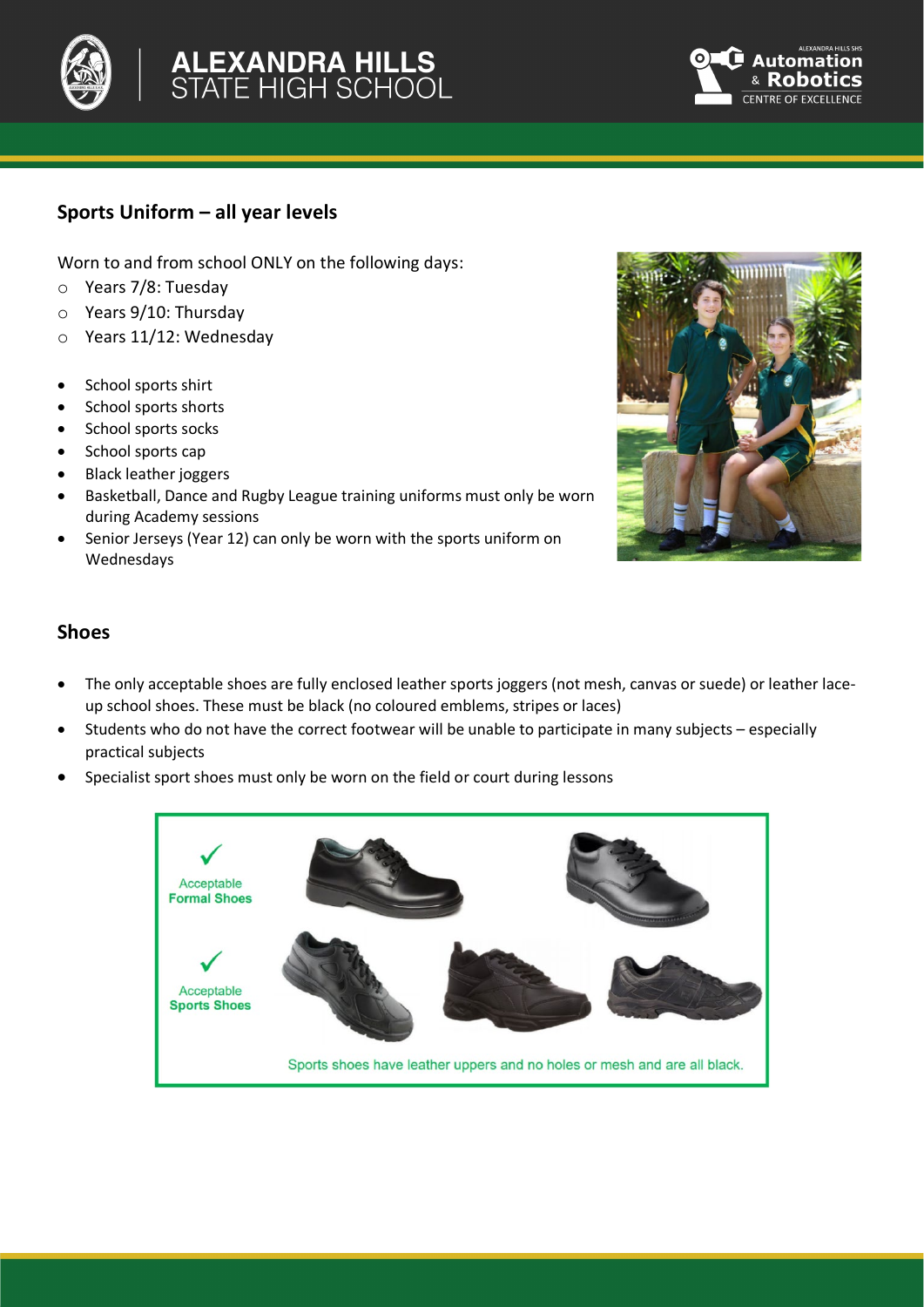

# **ALEXANDRA HILLS<br>STATE HIGH SCHOOL**



### **Sports Uniform – all year levels**

Worn to and from school ONLY on the following days:

- o Years 7/8: Tuesday
- o Years 9/10: Thursday
- o Years 11/12: Wednesday
- School sports shirt
- School sports shorts
- School sports socks
- School sports cap
- Black leather joggers
- Basketball, Dance and Rugby League training uniforms must only be worn during Academy sessions
- Senior Jerseys (Year 12) can only be worn with the sports uniform on Wednesdays



#### **Shoes**

- The only acceptable shoes are fully enclosed leather sports joggers (not mesh, canvas or suede) or leather laceup school shoes. These must be black (no coloured emblems, stripes or laces)
- Students who do not have the correct footwear will be unable to participate in many subjects especially practical subjects
- Specialist sport shoes must only be worn on the field or court during lessons